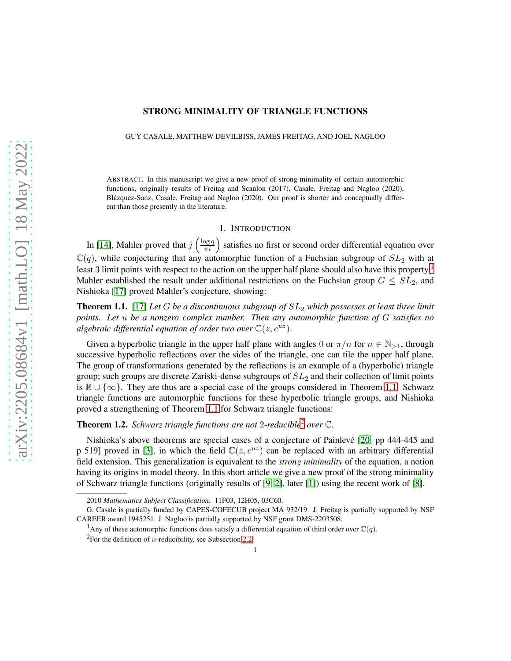# arXiv:2205.08684v1 [math.LO] 18 May 2022 [arXiv:2205.08684v1 \[math.LO\] 18 May 2022](http://arxiv.org/abs/2205.08684v1)

# STRONG MINIMALITY OF TRIANGLE FUNCTIONS

GUY CASALE, MATTHEW DEVILBISS, JAMES FREITAG, AND JOEL NAGLOO

ABSTRACT. In this manuscript we give a new proof of strong minimality of certain automorphic functions, originally results of Freitag and Scanlon (2017), Casale, Freitag and Nagloo (2020), Blázquez-Sanz, Casale, Freitag and Nagloo (2020). Our proof is shorter and conceptually different than those presently in the literature.

### 1. INTRODUCTION

In [\[14\]](#page-6-0), Mahler proved that  $j\left(\frac{\log q}{\pi i}\right)$  satisfies no first or second order differential equation over  $\mathbb{C}(q)$ , while conjecturing that any automorphic function of a Fuchsian subgroup of  $SL_2$  with at least 3 limit points with respect to the action on the upper half plane should also have this property.<sup>[1](#page-0-0)</sup> Mahler established the result under additional restrictions on the Fuchsian group  $G \leq SL_2$ , and Nishioka [\[17\]](#page-6-1) proved Mahler's conjecture, showing:

<span id="page-0-1"></span>Theorem 1.1. [\[17\]](#page-6-1) *Let* G *be a discontinuous subgroup of* SL<sup>2</sup> *which possesses at least three limit points. Let* u *be a nonzero complex number. Then any automorphic function of* G *satisfies no algebraic differential equation of order two over*  $\mathbb{C}(z, e^{uz})$ .

Given a hyperbolic triangle in the upper half plane with angles 0 or  $\pi/n$  for  $n \in \mathbb{N}_{>1}$ , through successive hyperbolic reflections over the sides of the triangle, one can tile the upper half plane. The group of transformations generated by the reflections is an example of a (hyperbolic) triangle group; such groups are discrete Zariski-dense subgroups of  $SL_2$  and their collection of limit points is  $\mathbb{R} \cup \{\infty\}$ . They are thus are a special case of the groups considered in Theorem [1.1.](#page-0-1) Schwarz triangle functions are automorphic functions for these hyperbolic triangle groups, and Nishioka proved a strengthening of Theorem [1.1](#page-0-1) for Schwarz triangle functions:

<span id="page-0-3"></span>Theorem 1.2. *Schwarz triangle functions are not* 2*-reducible*[2](#page-0-2) *over* C*.*

Nishioka's above theorems are special cases of a conjecture of Painlevé [\[20,](#page-6-2) pp 444-445 and p 519] proved in [\[3\]](#page-6-3), in which the field  $\mathbb{C}(z, e^{uz})$  can be replaced with an arbitrary differential field extension. This generalization is equivalent to the *strong minimality* of the equation, a notion having its origins in model theory. In this short article we give a new proof of the strong minimality of Schwarz triangle functions (originally results of [\[9,](#page-6-4) [2\]](#page-6-5), later [\[1\]](#page-6-6)) using the recent work of [\[8\]](#page-6-7).

<sup>2010</sup> *Mathematics Subject Classification.* 11F03, 12H05, 03C60.

G. Casale is partially funded by CAPES-COFECUB project MA 932/19. J. Freitag is partially supported by NSF CAREER award 1945251. J. Nagloo is partially supported by NSF grant DMS-2203508.

<sup>&</sup>lt;sup>1</sup>Any of these automorphic functions does satisfy a differential equation of third order over  $\mathbb{C}(q)$ .

<span id="page-0-2"></span><span id="page-0-0"></span><sup>&</sup>lt;sup>2</sup>For the definition of *n*-reducibility, see Subsection [2.2.](#page-2-0)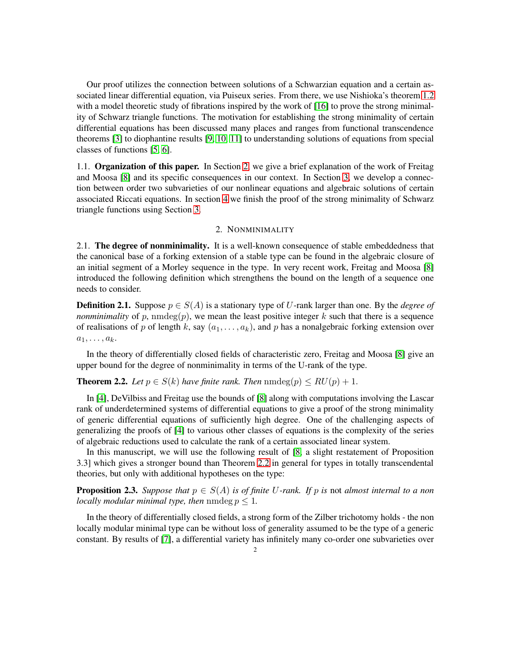Our proof utilizes the connection between solutions of a Schwarzian equation and a certain associated linear differential equation, via Puiseux series. From there, we use Nishioka's theorem [1.2](#page-0-3) with a model theoretic study of fibrations inspired by the work of [\[16\]](#page-6-8) to prove the strong minimality of Schwarz triangle functions. The motivation for establishing the strong minimality of certain differential equations has been discussed many places and ranges from functional transcendence theorems [\[3\]](#page-6-3) to diophantine results [\[9,](#page-6-4) [10,](#page-6-9) [11\]](#page-6-10) to understanding solutions of equations from special classes of functions [\[5,](#page-6-11) [6\]](#page-6-12).

1.1. Organization of this paper. In Section [2,](#page-1-0) we give a brief explanation of the work of Freitag and Moosa [\[8\]](#page-6-7) and its specific consequences in our context. In Section [3,](#page-3-0) we develop a connection between order two subvarieties of our nonlinear equations and algebraic solutions of certain associated Riccati equations. In section [4](#page-5-0) we finish the proof of the strong minimality of Schwarz triangle functions using Section [3.](#page-3-0)

# 2. NONMINIMALITY

<span id="page-1-0"></span>2.1. The degree of nonminimality. It is a well-known consequence of stable embeddedness that the canonical base of a forking extension of a stable type can be found in the algebraic closure of an initial segment of a Morley sequence in the type. In very recent work, Freitag and Moosa [\[8\]](#page-6-7) introduced the following definition which strengthens the bound on the length of a sequence one needs to consider.

**Definition 2.1.** Suppose  $p \in S(A)$  is a stationary type of U-rank larger than one. By the *degree of nonminimality* of p,  $nmdeg(p)$ , we mean the least positive integer k such that there is a sequence of realisations of p of length k, say  $(a_1, \ldots, a_k)$ , and p has a nonalgebraic forking extension over  $a_1, \ldots, a_k$ .

In the theory of differentially closed fields of characteristic zero, Freitag and Moosa [\[8\]](#page-6-7) give an upper bound for the degree of nonminimality in terms of the U-rank of the type.

<span id="page-1-1"></span>**Theorem 2.2.** *Let*  $p \in S(k)$  *have finite rank. Then*  $\text{nmdeg}(p) \leq RU(p) + 1$ .

In [\[4\]](#page-6-13), DeVilbiss and Freitag use the bounds of [\[8\]](#page-6-7) along with computations involving the Lascar rank of underdetermined systems of differential equations to give a proof of the strong minimality of generic differential equations of sufficiently high degree. One of the challenging aspects of generalizing the proofs of [\[4\]](#page-6-13) to various other classes of equations is the complexity of the series of algebraic reductions used to calculate the rank of a certain associated linear system.

In this manuscript, we will use the following result of [\[8,](#page-6-7) a slight restatement of Proposition 3.3] which gives a stronger bound than Theorem [2.2](#page-1-1) in general for types in totally transcendental theories, but only with additional hypotheses on the type:

**Proposition 2.3.** *Suppose that*  $p \in S(A)$  *is of finite U-rank. If* p *is* not *almost internal to a non locally modular minimal type, then* nmdeg  $p < 1$ .

In the theory of differentially closed fields, a strong form of the Zilber trichotomy holds - the non locally modular minimal type can be without loss of generality assumed to be the type of a generic constant. By results of [\[7\]](#page-6-14), a differential variety has infinitely many co-order one subvarieties over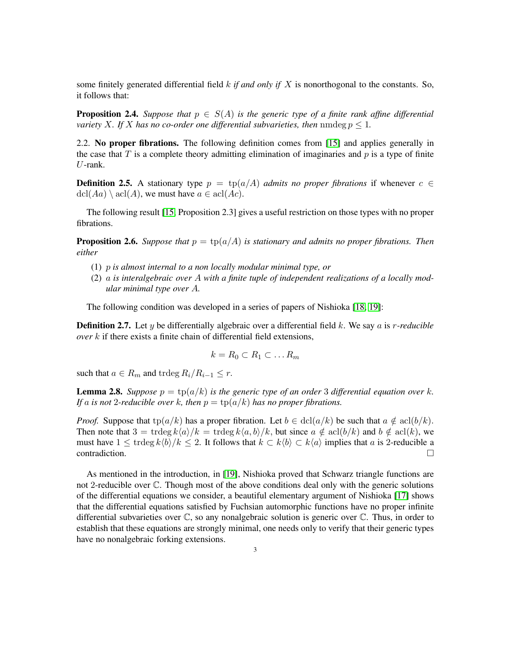some finitely generated differential field k *if and only if* X is nonorthogonal to the constants. So, it follows that:

**Proposition 2.4.** Suppose that  $p \in S(A)$  is the generic type of a finite rank affine differential *variety* X. If X has no co-order one differential subvarieties, then nmdeg  $p \leq 1$ .

<span id="page-2-0"></span>2.2. No proper fibrations. The following definition comes from [\[15\]](#page-6-15) and applies generally in the case that T is a complete theory admitting elimination of imaginaries and  $p$  is a type of finite U-rank.

**Definition 2.5.** A stationary type  $p = \text{tp}(a/A)$  *admits no proper fibrations* if whenever  $c \in \mathbb{C}$  $\text{dcl}(Aa) \setminus \text{acl}(A)$ , we must have  $a \in \text{acl}(Ac)$ .

The following result [\[15,](#page-6-15) Proposition 2.3] gives a useful restriction on those types with no proper fibrations.

<span id="page-2-2"></span>**Proposition 2.6.** Suppose that  $p = \text{tp}(a/A)$  is stationary and admits no proper fibrations. Then *either*

- (1) p *is almost internal to a non locally modular minimal type, or*
- (2) a *is interalgebraic over* A *with a finite tuple of independent realizations of a locally modular minimal type over* A*.*

The following condition was developed in a series of papers of Nishioka [\[18,](#page-6-16) [19\]](#page-6-17):

**Definition 2.7.** Let y be differentially algebraic over a differential field k. We say a is r-reducible *over* k if there exists a finite chain of differential field extensions,

$$
k = R_0 \subset R_1 \subset \dots R_m
$$

such that  $a \in R_m$  and trdeg  $R_i/R_{i-1} \leq r$ .

<span id="page-2-1"></span>**Lemma 2.8.** Suppose  $p = \text{tp}(a/k)$  is the generic type of an order 3 differential equation over k. *If* a *is not* 2-reducible over *k*, then  $p = \text{tp}(a/k)$  *has no proper fibrations.* 

*Proof.* Suppose that  $tp(a/k)$  has a proper fibration. Let  $b \in \text{dcl}(a/k)$  be such that  $a \notin \text{acl}(b/k)$ . Then note that  $3 = \text{trdeg } k\langle a \rangle/k = \text{trdeg } k\langle a, b \rangle/k$ , but since  $a \notin \text{acl}(b/k)$  and  $b \notin \text{acl}(k)$ , we must have  $1 \leq \text{trdeg } k \langle b \rangle / k \leq 2$ . It follows that  $k \subset k \langle b \rangle \subset k \langle a \rangle$  implies that a is 2-reducible a contradiction.

As mentioned in the introduction, in [\[19\]](#page-6-17), Nishioka proved that Schwarz triangle functions are not 2-reducible over C. Though most of the above conditions deal only with the generic solutions of the differential equations we consider, a beautiful elementary argument of Nishioka [\[17\]](#page-6-1) shows that the differential equations satisfied by Fuchsian automorphic functions have no proper infinite differential subvarieties over  $\mathbb{C}$ , so any nonalgebraic solution is generic over  $\mathbb{C}$ . Thus, in order to establish that these equations are strongly minimal, one needs only to verify that their generic types have no nonalgebraic forking extensions.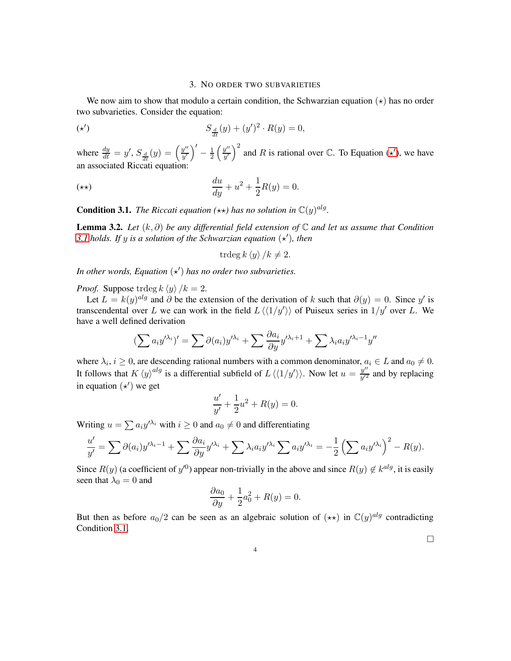### 3. NO ORDER TWO SUBVARIETIES

<span id="page-3-0"></span>We now aim to show that modulo a certain condition, the Schwarzian equation  $(\star)$  has no order two subvarieties. Consider the equation:

<span id="page-3-1"></span>
$$
S_{\frac{d}{dt}}(y) + (y')^2 \cdot R(y) = 0,
$$

where  $\frac{dy}{dt} = y'$ ,  $S_{\frac{d}{dt}}(y) = \left(\frac{y''}{y'}\right)$  $\left(y''\over y'\right)' - \frac{1}{2}$  $rac{1}{2}$  $\left(\frac{y''}{y'}\right)$  $(y''/y')^2$  and R is rational over C. To Equation ( $\star'$ ), we have an associated Riccati equation:

$$
\frac{du}{dy} + u^2 + \frac{1}{2}R(y) = 0.
$$

<span id="page-3-2"></span>**Condition 3.1.** *The Riccati equation* ( $\star\star$ ) *has no solution in*  $\mathbb{C}(y)^{alg}$ *.* 

<span id="page-3-3"></span>Lemma 3.2. *Let* (k, ∂) *be any differential field extension of* C *and let us assume that Condition* [3.1](#page-3-2) holds. If y is a solution of the Schwarzian equation  $(\star)$ , then

trdeg 
$$
k \langle y \rangle / k \neq 2
$$
.

In other words, Equation  $(\star')$  has no order two subvarieties.

*Proof.* Suppose trdeg  $k \langle y \rangle / k = 2$ .

Let  $L = k(y)^{alg}$  and  $\partial$  be the extension of the derivation of k such that  $\partial(y) = 0$ . Since y' is transcendental over L we can work in the field  $L\langle\langle 1/y'\rangle\rangle$  of Puiseux series in  $1/y'$  over L. We have a well defined derivation

$$
\left(\sum a_i y^{\prime \lambda_i}\right)' = \sum \partial(a_i) y^{\prime \lambda_i} + \sum \frac{\partial a_i}{\partial y} y^{\prime \lambda_i + 1} + \sum \lambda_i a_i y^{\prime \lambda_i - 1} y''
$$

where  $\lambda_i, i \geq 0$ , are descending rational numbers with a common denominator,  $a_i \in L$  and  $a_0 \neq 0$ . It follows that  $K \langle y \rangle^{alg}$  is a differential subfield of  $L \langle \langle 1/y' \rangle \rangle$ . Now let  $u = \frac{y''}{y'^2}$  $\frac{y}{y^2}$  and by replacing in equation  $(\star')$  we get

$$
\frac{u'}{y'} + \frac{1}{2}u^2 + R(y) = 0.
$$

Writing  $u = \sum a_i y^{\lambda_i}$  with  $i \ge 0$  and  $a_0 \ne 0$  and differentiating

$$
\frac{u'}{y'} = \sum \partial(a_i) y'^{\lambda_i - 1} + \sum \frac{\partial a_i}{\partial y} y'^{\lambda_i} + \sum \lambda_i a_i y'^{\lambda_i} \sum a_i y'^{\lambda_i} = -\frac{1}{2} \left( \sum a_i y'^{\lambda_i} \right)^2 - R(y).
$$

Since  $R(y)$  (a coefficient of  $y^{(0)}$ ) appear non-trivially in the above and since  $R(y) \notin k^{alg}$ , it is easily seen that  $\lambda_0 = 0$  and

$$
\frac{\partial a_0}{\partial y} + \frac{1}{2}a_0^2 + R(y) = 0.
$$

But then as before  $a_0/2$  can be seen as an algebraic solution of  $(\star \star)$  in  $\mathbb{C}(y)^{alg}$  contradicting Condition [3.1.](#page-3-2)

 $\Box$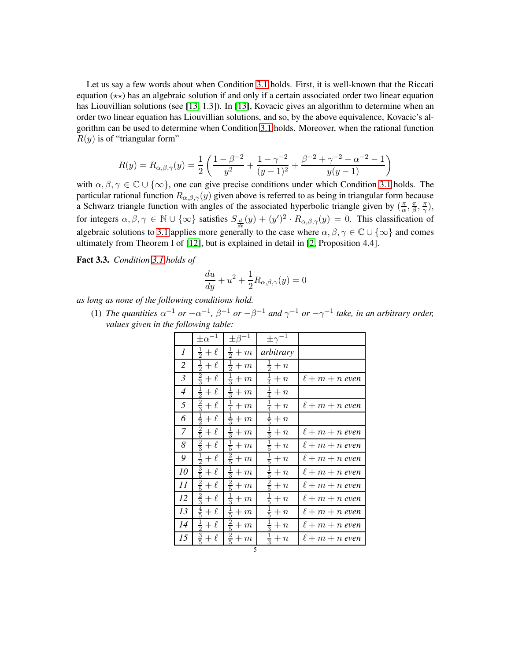Let us say a few words about when Condition [3.1](#page-3-2) holds. First, it is well-known that the Riccati equation  $(\star \star)$  has an algebraic solution if and only if a certain associated order two linear equation has Liouvillian solutions (see [\[13,](#page-6-18) 1.3]). In [\[13\]](#page-6-18), Kovacic gives an algorithm to determine when an order two linear equation has Liouvillian solutions, and so, by the above equivalence, Kovacic's algorithm can be used to determine when Condition [3.1](#page-3-2) holds. Moreover, when the rational function  $R(y)$  is of "triangular form"

$$
R(y) = R_{\alpha,\beta,\gamma}(y) = \frac{1}{2} \left( \frac{1 - \beta^{-2}}{y^2} + \frac{1 - \gamma^{-2}}{(y - 1)^2} + \frac{\beta^{-2} + \gamma^{-2} - \alpha^{-2} - 1}{y(y - 1)} \right)
$$

with  $\alpha, \beta, \gamma \in \mathbb{C} \cup \{\infty\}$ , one can give precise conditions under which Condition [3.1](#page-3-2) holds. The particular rational function  $R_{\alpha,\beta,\gamma}(y)$  given above is referred to as being in triangular form because a Schwarz triangle function with angles of the associated hyperbolic triangle given by  $(\frac{\pi}{\alpha})$  $\frac{\pi}{\alpha}$ ,  $\frac{\pi}{\beta}$  $\frac{\pi}{\beta}$ ,  $\frac{\pi}{\gamma}$  $\frac{\pi}{\gamma}),$ for integers  $\alpha, \beta, \gamma \in \mathbb{N} \cup \{\infty\}$  satisfies  $S_{\frac{d}{dt}}(y) + (y')^2 \cdot R_{\alpha,\beta,\gamma}(y) = 0$ . This classification of algebraic solutions to [3.1](#page-3-2) applies more generally to the case where  $\alpha, \beta, \gamma \in \mathbb{C} \cup \{\infty\}$  and comes ultimately from Theorem I of [\[12\]](#page-6-19), but is explained in detail in [\[2,](#page-6-5) Proposition 4.4].

<span id="page-4-0"></span>Fact 3.3. *Condition [3.1](#page-3-2) holds of*

$$
\frac{du}{dy} + u^2 + \frac{1}{2}R_{\alpha,\beta,\gamma}(y) = 0
$$

*as long as none of the following conditions hold.*

(1) *The quantities*  $\alpha^{-1}$  *or*  $-\alpha^{-1}$ ,  $\beta^{-1}$  *or*  $-\beta^{-1}$  *and*  $\gamma^{-1}$  *or*  $-\gamma^{-1}$  *take, in an arbitrary order, values given in the following table:*

|                | $\pm \alpha^{-1}$         | $\pm \beta^{-1}$       | $\pm \gamma^{-1}$     |                     |
|----------------|---------------------------|------------------------|-----------------------|---------------------|
| 1              | $rac{1}{2}+\ell$          | $rac{1}{2}+m$          | arbitrary             |                     |
| $\overline{2}$ | $\frac{1}{2}$<br>$+\ell$  | $\frac{1}{2}$<br>$+m$  | $+n$                  |                     |
| $\mathfrak{Z}$ | $\frac{2}{3}$<br>$+\ell$  | $\frac{1}{3}$<br>$+m$  | $\frac{1}{4}$<br>$+n$ | $\ell+m+n$ even     |
| $\overline{4}$ | $\frac{1}{2}$<br>$+ \ell$ | $rac{1}{3}+m$          | $\frac{1}{4}$<br>$+n$ |                     |
| 5              | $\frac{2}{3}$<br>$+\ell$  | $\frac{1}{4}$<br>$+m$  | $\frac{1}{4}$<br>$+n$ | $\ell+m+n$ even     |
| 6              | $+\ell$                   | $\frac{1}{3}$<br>$+m$  | $\frac{1}{5}$<br>$+n$ |                     |
| $\overline{7}$ | $\frac{2}{5}$<br>$+\ell$  | $rac{1}{3}+m$          | $rac{1}{3}+n$         | $\ell+m+n$ even     |
| 8              | $\frac{2}{3}$<br>$+\ell$  | $\frac{1}{5}$<br>$+m$  | $\frac{1}{5}$<br>$+n$ | $\ell + m + n$ even |
| 9              | $\frac{1}{2}$<br>$+ \ell$ | $\frac{2}{5}$<br>$+m$  | $\frac{1}{5}$<br>$+n$ | $\ell + m + n$ even |
| 10             | $\frac{3}{5}$<br>$+\ell$  | $\frac{1}{3}$<br>$+m$  | $\frac{1}{5}$<br>$+n$ | $\ell+m+n$ even     |
| 11             | $\frac{2}{5}$<br>$+\ell$  | $\frac{2}{5}$<br>$+m$  | $\frac{2}{5}$<br>$+n$ | $\ell+m+n$ even     |
| 12             | $\frac{2}{3}$<br>$+\ell$  | $\frac{1}{3}$<br>$+ m$ | $\frac{1}{5}$<br>$+n$ | $\ell + m + n$ even |
| 13             | $\frac{4}{5}$<br>$+\ell$  | $\frac{1}{5}$<br>$+m$  | $\frac{1}{5}$<br>$+n$ | $\ell+m+n$ even     |
| 14             | $\frac{1}{2}$<br>$+ \ell$ | $rac{2}{5} + m$        | $rac{1}{3}+n$         | $\ell+m+n$ even     |
| 15             | $rac{3}{5}+\ell$          | $rac{2}{5} + m$        | $\frac{1}{3}$<br>$+n$ | $\ell+m+n$ even     |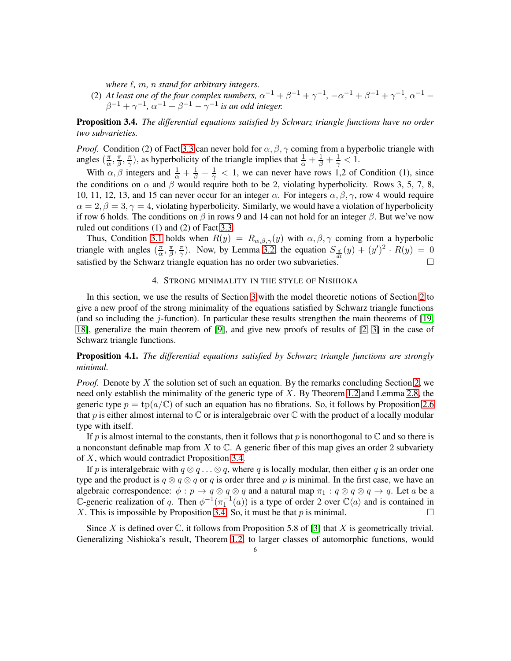*where* ℓ*,* m*,* n *stand for arbitrary integers.*

(2) At least one of the four complex numbers,  $\alpha^{-1} + \beta^{-1} + \gamma^{-1}$ ,  $-\alpha^{-1} + \beta^{-1} + \gamma^{-1}$ ,  $\alpha^{-1} \beta^{-1} + \gamma^{-1}$ ,  $\alpha^{-1} + \beta^{-1} - \gamma^{-1}$  is an odd integer.

<span id="page-5-1"></span>Proposition 3.4. *The differential equations satisfied by Schwarz triangle functions have no order two subvarieties.*

*Proof.* Condition (2) of Fact [3.3](#page-4-0) can never hold for  $\alpha$ ,  $\beta$ ,  $\gamma$  coming from a hyperbolic triangle with angles  $\left(\frac{\pi}{\alpha}\right)$  $\frac{\pi}{\alpha}$ ,  $\frac{\pi}{\beta}$  $\frac{\pi}{\beta}$ ,  $\frac{\pi}{\gamma}$  $(\frac{\pi}{\gamma})$ , as hyperbolicity of the triangle implies that  $\frac{1}{\alpha} + \frac{1}{\beta} + \frac{1}{\gamma} < 1$ .

With  $\alpha$ ,  $\beta$  integers and  $\frac{1}{\alpha} + \frac{1}{\beta} + \frac{1}{\gamma} < 1$ , we can never have rows 1,2 of Condition (1), since the conditions on  $\alpha$  and  $\beta$  would require both to be 2, violating hyperbolicity. Rows 3, 5, 7, 8, 10, 11, 12, 13, and 15 can never occur for an integer  $\alpha$ . For integers  $\alpha$ ,  $\beta$ ,  $\gamma$ , row 4 would require  $\alpha = 2, \beta = 3, \gamma = 4$ , violating hyperbolicity. Similarly, we would have a violation of hyperbolicity if row 6 holds. The conditions on  $\beta$  in rows 9 and 14 can not hold for an integer  $\beta$ . But we've now ruled out conditions (1) and (2) of Fact [3.3.](#page-4-0)

Thus, Condition [3.1](#page-3-2) holds when  $R(y) = R_{\alpha,\beta,\gamma}(y)$  with  $\alpha,\beta,\gamma$  coming from a hyperbolic triangle with angles  $\left(\frac{\pi}{6}\right)$  $\frac{\pi}{\alpha}$ ,  $\frac{\pi}{\beta}$  $\frac{\pi}{\beta}$ ,  $\frac{\pi}{\gamma}$  $\frac{\pi}{\gamma}$ ). Now, by Lemma [3.2,](#page-3-3) the equation  $S_{\frac{d}{dt}}(y) + (y')^2 \cdot R(y) = 0$ satisfied by the Schwarz triangle equation has no order two subvarieties.  $\square$ 

# 4. STRONG MINIMALITY IN THE STYLE OF NISHIOKA

<span id="page-5-0"></span>In this section, we use the results of Section [3](#page-3-0) with the model theoretic notions of Section [2](#page-1-0) to give a new proof of the strong minimality of the equations satisfied by Schwarz triangle functions (and so including the j-function). In particular these results strengthen the main theorems of  $[19, 16]$  $[19, 16]$ [18\]](#page-6-16), generalize the main theorem of [\[9\]](#page-6-4), and give new proofs of results of [\[2,](#page-6-5) [3\]](#page-6-3) in the case of Schwarz triangle functions.

Proposition 4.1. *The differential equations satisfied by Schwarz triangle functions are strongly minimal.*

*Proof.* Denote by X the solution set of such an equation. By the remarks concluding Section [2,](#page-1-0) we need only establish the minimality of the generic type of X. By Theorem [1.2](#page-0-3) and Lemma [2.8,](#page-2-1) the generic type  $p = \text{tp}(a/\mathbb{C})$  of such an equation has no fibrations. So, it follows by Proposition [2.6](#page-2-2) that p is either almost internal to  $\mathbb C$  or is interalgebraic over  $\mathbb C$  with the product of a locally modular type with itself.

If p is almost internal to the constants, then it follows that p is nonorthogonal to  $\mathbb C$  and so there is a nonconstant definable map from  $X$  to  $\mathbb{C}$ . A generic fiber of this map gives an order 2 subvariety of X, which would contradict Proposition [3.4.](#page-5-1)

If p is interalgebraic with  $q \otimes q \ldots \otimes q$ , where q is locally modular, then either q is an order one type and the product is  $q \otimes q \otimes q$  or q is order three and p is minimal. In the first case, we have an algebraic correspondence:  $\phi : p \to q \otimes q \otimes q$  and a natural map  $\pi_1 : q \otimes q \otimes q \to q$ . Let a be a C-generic realization of q. Then  $\phi^{-1}(\pi_1^{-1}(a))$  is a type of order 2 over  $\mathbb{C}\langle a \rangle$  and is contained in X. This is impossible by Proposition [3.4.](#page-5-1) So, it must be that p is minimal.

Since X is defined over  $\mathbb{C}$ , it follows from Proposition 5.8 of [\[3\]](#page-6-3) that X is geometrically trivial. Generalizing Nishioka's result, Theorem [1.2,](#page-0-3) to larger classes of automorphic functions, would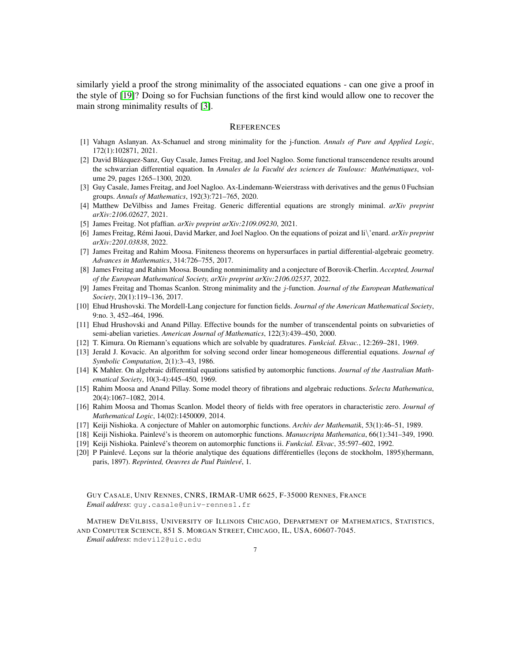similarly yield a proof the strong minimality of the associated equations - can one give a proof in the style of [\[19\]](#page-6-17)? Doing so for Fuchsian functions of the first kind would allow one to recover the main strong minimality results of [\[3\]](#page-6-3).

### **REFERENCES**

- <span id="page-6-6"></span>[1] Vahagn Aslanyan. Ax-Schanuel and strong minimality for the j-function. *Annals of Pure and Applied Logic*, 172(1):102871, 2021.
- <span id="page-6-5"></span>[2] David Blázquez-Sanz, Guy Casale, James Freitag, and Joel Nagloo. Some functional transcendence results around the schwarzian differential equation. In *Annales de la Faculté des sciences de Toulouse: Mathématiques*, volume 29, pages 1265–1300, 2020.
- <span id="page-6-3"></span>[3] Guy Casale, James Freitag, and Joel Nagloo. Ax-Lindemann-Weierstrass with derivatives and the genus 0 Fuchsian groups. *Annals of Mathematics*, 192(3):721–765, 2020.
- <span id="page-6-13"></span><span id="page-6-11"></span>[4] Matthew DeVilbiss and James Freitag. Generic differential equations are strongly minimal. *arXiv preprint arXiv:2106.02627*, 2021.
- <span id="page-6-12"></span>[5] James Freitag. Not pfaffian. *arXiv preprint arXiv:2109.09230*, 2021.
- <span id="page-6-14"></span>[6] James Freitag, R´emi Jaoui, David Marker, and Joel Nagloo. On the equations of poizat and li\'enard. *arXiv preprint arXiv:2201.03838*, 2022.
- <span id="page-6-7"></span>[7] James Freitag and Rahim Moosa. Finiteness theorems on hypersurfaces in partial differential-algebraic geometry. *Advances in Mathematics*, 314:726–755, 2017.
- [8] James Freitag and Rahim Moosa. Bounding nonminimality and a conjecture of Borovik-Cherlin. *Accepted, Journal of the European Mathematical Society, arXiv preprint arXiv:2106.02537*, 2022.
- <span id="page-6-4"></span>[9] James Freitag and Thomas Scanlon. Strong minimality and the j-function. *Journal of the European Mathematical Society*, 20(1):119–136, 2017.
- <span id="page-6-10"></span><span id="page-6-9"></span>[10] Ehud Hrushovski. The Mordell-Lang conjecture for function fields. *Journal of the American Mathematical Society*, 9:no. 3, 452–464, 1996.
- [11] Ehud Hrushovski and Anand Pillay. Effective bounds for the number of transcendental points on subvarieties of semi-abelian varieties. *American Journal of Mathematics*, 122(3):439–450, 2000.
- <span id="page-6-19"></span><span id="page-6-18"></span>[12] T. Kimura. On Riemann's equations which are solvable by quadratures. *Funkcial. Ekvac.*, 12:269–281, 1969.
- [13] Jerald J. Kovacic. An algorithm for solving second order linear homogeneous differential equations. *Journal of Symbolic Computation*, 2(1):3–43, 1986.
- <span id="page-6-0"></span>[14] K Mahler. On algebraic differential equations satisfied by automorphic functions. *Journal of the Australian Mathematical Society*, 10(3-4):445–450, 1969.
- <span id="page-6-15"></span>[15] Rahim Moosa and Anand Pillay. Some model theory of fibrations and algebraic reductions. *Selecta Mathematica*, 20(4):1067–1082, 2014.
- <span id="page-6-8"></span>[16] Rahim Moosa and Thomas Scanlon. Model theory of fields with free operators in characteristic zero. *Journal of Mathematical Logic*, 14(02):1450009, 2014.
- <span id="page-6-16"></span><span id="page-6-1"></span>[17] Keiji Nishioka. A conjecture of Mahler on automorphic functions. *Archiv der Mathematik*, 53(1):46–51, 1989.
- <span id="page-6-17"></span>[18] Keiji Nishioka. Painlev´e's is theorem on automorphic functions. *Manuscripta Mathematica*, 66(1):341–349, 1990.
- <span id="page-6-2"></span>[19] Keiji Nishioka. Painlev´e's theorem on automorphic functions ii. *Funkcial. Ekvac*, 35:597–602, 1992.
- [20] P Painlevé. Leçons sur la théorie analytique des équations différentielles (leçons de stockholm, 1895)(hermann, paris, 1897). *Reprinted, Oeuvres de Paul Painlevé*, 1.

GUY CASALE, UNIV RENNES, CNRS, IRMAR-UMR 6625, F-35000 RENNES, FRANCE *Email address*: guy.casale@univ-rennes1.fr

MATHEW DEVILBISS, UNIVERSITY OF ILLINOIS CHICAGO, DEPARTMENT OF MATHEMATICS, STATISTICS, AND COMPUTER SCIENCE, 851 S. MORGAN STREET, CHICAGO, IL, USA, 60607-7045.

*Email address*: mdevil2@uic.edu